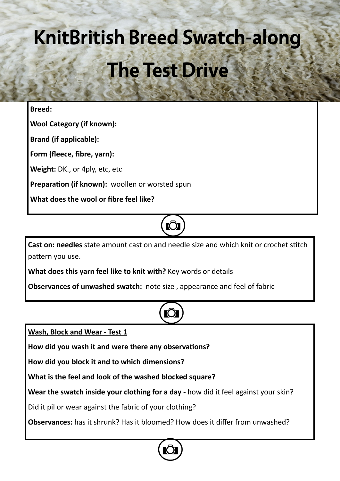# **KnitBritish Breed Swatch-along The Test Drive**

### **Breed:**

**Wool Category (if known):**

**Brand (if applicable):**

**Form (fleece, fibre, yarn):**

**Weight:** DK., or 4ply, etc, etc

**Preparation (if known):** woollen or worsted spun

**What does the wool or fibre feel like?** 

## **IO**

**Cast on: needles** state amount cast on and needle size and which knit or crochet stitch pattern you use.

**What does this yarn feel like to knit with?** Key words or details

**Observances of unwashed swatch:** note size , appearance and feel of fabric

**Wash, Block and Wear - Test 1**

**How did you wash it and were there any observations?**

**How did you block it and to which dimensions?** 

**What is the feel and look of the washed blocked square?**

**Wear the swatch inside your clothing for a day -** how did it feel against your skin?

Did it pil or wear against the fabric of your clothing?

**Observances:** has it shrunk? Has it bloomed? How does it differ from unwashed?